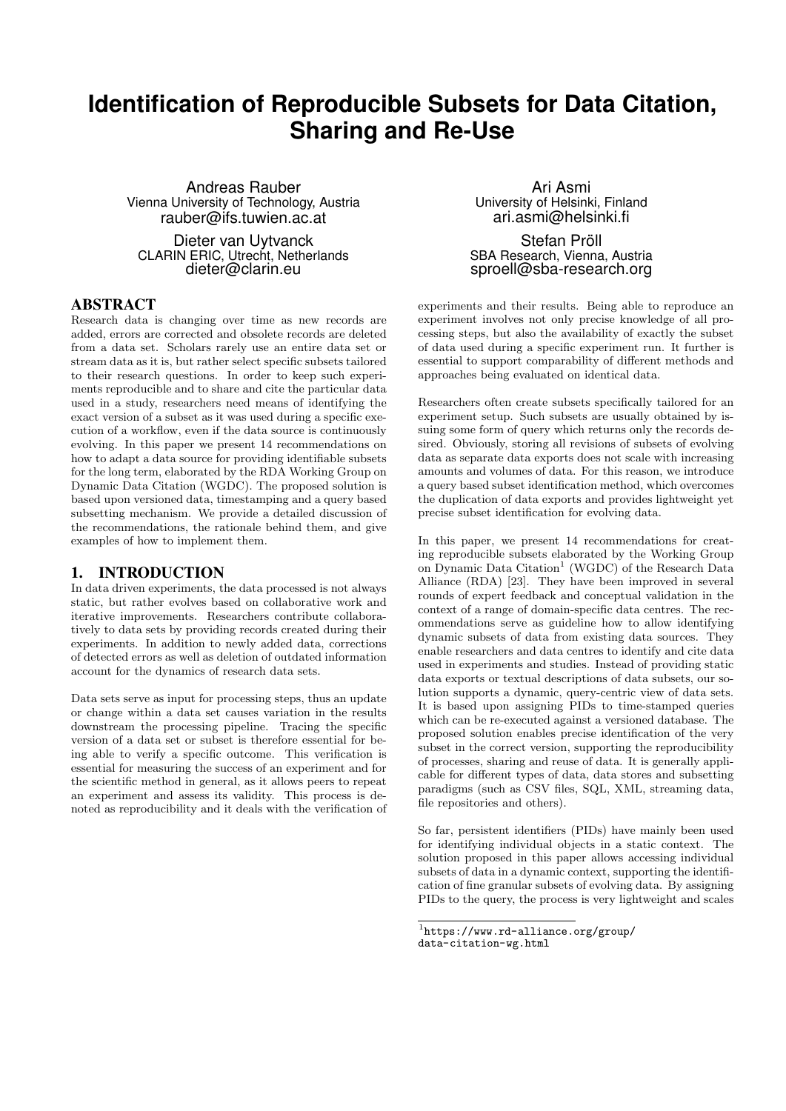# **Identification of Reproducible Subsets for Data Citation, Sharing and Re-Use**

Andreas Rauber Vienna University of Technology, Austria rauber@ifs.tuwien.ac.at

Dieter van Uytvanck CLARIN ERIC, Utrecht, Netherlands dieter@clarin.eu

# ABSTRACT

Research data is changing over time as new records are added, errors are corrected and obsolete records are deleted from a data set. Scholars rarely use an entire data set or stream data as it is, but rather select specific subsets tailored to their research questions. In order to keep such experiments reproducible and to share and cite the particular data used in a study, researchers need means of identifying the exact version of a subset as it was used during a specific execution of a workflow, even if the data source is continuously evolving. In this paper we present 14 recommendations on how to adapt a data source for providing identifiable subsets for the long term, elaborated by the RDA Working Group on Dynamic Data Citation (WGDC). The proposed solution is based upon versioned data, timestamping and a query based subsetting mechanism. We provide a detailed discussion of the recommendations, the rationale behind them, and give examples of how to implement them.

#### 1. INTRODUCTION

In data driven experiments, the data processed is not always static, but rather evolves based on collaborative work and iterative improvements. Researchers contribute collaboratively to data sets by providing records created during their experiments. In addition to newly added data, corrections of detected errors as well as deletion of outdated information account for the dynamics of research data sets.

Data sets serve as input for processing steps, thus an update or change within a data set causes variation in the results downstream the processing pipeline. Tracing the specific version of a data set or subset is therefore essential for being able to verify a specific outcome. This verification is essential for measuring the success of an experiment and for the scientific method in general, as it allows peers to repeat an experiment and assess its validity. This process is denoted as reproducibility and it deals with the verification of

Ari Asmi University of Helsinki, Finland ari.asmi@helsinki.fi

Stefan Pröll SBA Research, Vienna, Austria sproell@sba-research.org

experiments and their results. Being able to reproduce an experiment involves not only precise knowledge of all processing steps, but also the availability of exactly the subset of data used during a specific experiment run. It further is essential to support comparability of different methods and approaches being evaluated on identical data.

Researchers often create subsets specifically tailored for an experiment setup. Such subsets are usually obtained by issuing some form of query which returns only the records desired. Obviously, storing all revisions of subsets of evolving data as separate data exports does not scale with increasing amounts and volumes of data. For this reason, we introduce a query based subset identification method, which overcomes the duplication of data exports and provides lightweight yet precise subset identification for evolving data.

In this paper, we present 14 recommendations for creating reproducible subsets elaborated by the Working Group on Dynamic Data Citation<sup>1</sup> (WGDC) of the Research Data Alliance (RDA) [23]. They have been improved in several rounds of expert feedback and conceptual validation in the context of a range of domain-specific data centres. The recommendations serve as guideline how to allow identifying dynamic subsets of data from existing data sources. They enable researchers and data centres to identify and cite data used in experiments and studies. Instead of providing static data exports or textual descriptions of data subsets, our solution supports a dynamic, query-centric view of data sets. It is based upon assigning PIDs to time-stamped queries which can be re-executed against a versioned database. The proposed solution enables precise identification of the very subset in the correct version, supporting the reproducibility of processes, sharing and reuse of data. It is generally applicable for different types of data, data stores and subsetting paradigms (such as CSV files, SQL, XML, streaming data, file repositories and others).

So far, persistent identifiers (PIDs) have mainly been used for identifying individual objects in a static context. The solution proposed in this paper allows accessing individual subsets of data in a dynamic context, supporting the identification of fine granular subsets of evolving data. By assigning PIDs to the query, the process is very lightweight and scales

<sup>1</sup> https://www.rd-alliance.org/group/ data-citation-wg.html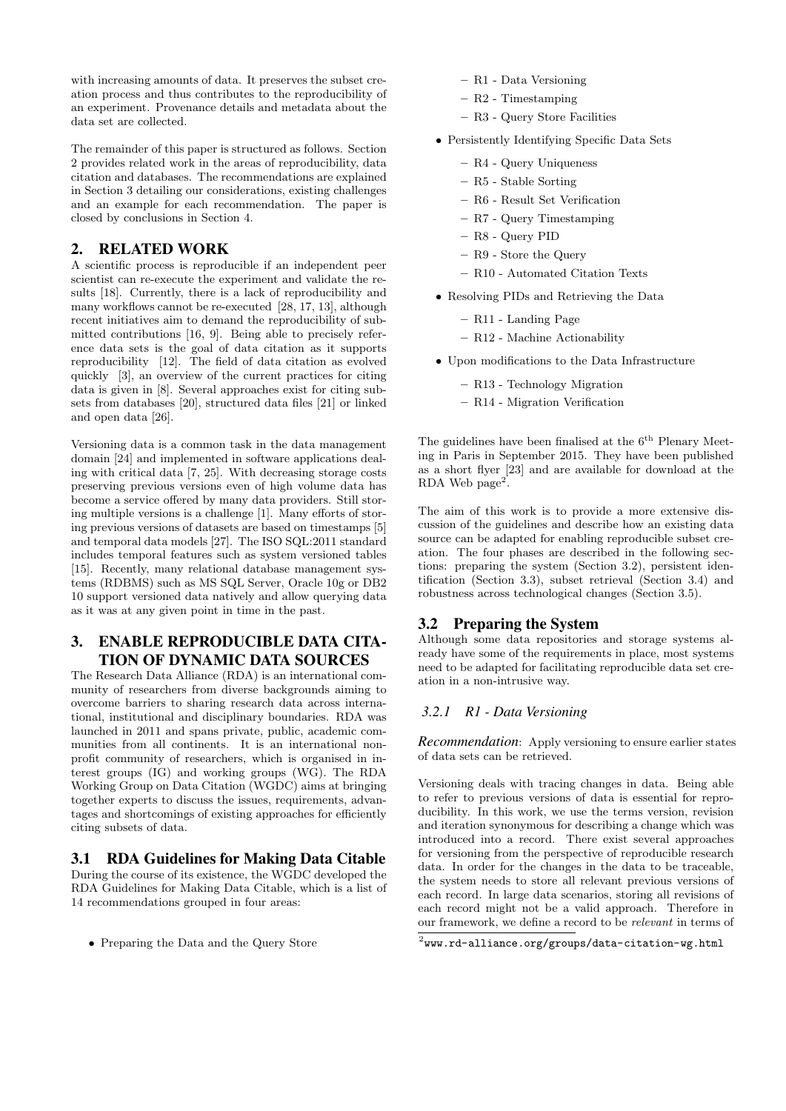with increasing amounts of data. It preserves the subset creation process and thus contributes to the reproducibility of an experiment. Provenance details and metadata about the data set are collected.

The remainder of this paper is structured as follows. Section 2 provides related work in the areas of reproducibility, data citation and databases. The recommendations are explained in Section 3 detailing our considerations, existing challenges and an example for each recommendation. The paper is closed by conclusions in Section 4.

# 2. RELATED WORK

A scientific process is reproducible if an independent peer scientist can re-execute the experiment and validate the results [18]. Currently, there is a lack of reproducibility and many workflows cannot be re-executed [28, 17, 13], although recent initiatives aim to demand the reproducibility of submitted contributions [16, 9]. Being able to precisely reference data sets is the goal of data citation as it supports reproducibility [12]. The field of data citation as evolved quickly [3], an overview of the current practices for citing data is given in [8]. Several approaches exist for citing subsets from databases [20], structured data files [21] or linked and open data [26].

Versioning data is a common task in the data management domain [24] and implemented in software applications dealing with critical data [7, 25]. With decreasing storage costs preserving previous versions even of high volume data has become a service offered by many data providers. Still storing multiple versions is a challenge [1]. Many efforts of storing previous versions of datasets are based on timestamps [5] and temporal data models [27]. The ISO SQL:2011 standard includes temporal features such as system versioned tables [15]. Recently, many relational database management systems (RDBMS) such as MS SQL Server, Oracle 10g or DB2 10 support versioned data natively and allow querying data as it was at any given point in time in the past.

# 3. ENABLE REPRODUCIBLE DATA CITA-TION OF DYNAMIC DATA SOURCES

The Research Data Alliance (RDA) is an international community of researchers from diverse backgrounds aiming to overcome barriers to sharing research data across international, institutional and disciplinary boundaries. RDA was launched in 2011 and spans private, public, academic communities from all continents. It is an international nonprofit community of researchers, which is organised in interest groups (IG) and working groups (WG). The RDA Working Group on Data Citation (WGDC) aims at bringing together experts to discuss the issues, requirements, advantages and shortcomings of existing approaches for efficiently citing subsets of data.

# 3.1 RDA Guidelines for Making Data Citable

During the course of its existence, the WGDC developed the RDA Guidelines for Making Data Citable, which is a list of 14 recommendations grouped in four areas:

• Preparing the Data and the Query Store

- R1 Data Versioning
- R2 Timestamping
- R3 Query Store Facilities
- Persistently Identifying Specific Data Sets
	- R4 Query Uniqueness
	- R5 Stable Sorting
	- R6 Result Set Verification
	- R7 Query Timestamping
	- R8 Query PID
	- R9 Store the Query
	- R10 Automated Citation Texts
- Resolving PIDs and Retrieving the Data
	- R11 Landing Page
	- R12 Machine Actionability
- Upon modifications to the Data Infrastructure
	- R13 Technology Migration
	- R14 Migration Verification

The guidelines have been finalised at the  $6^{\rm th}$  Plenary Meeting in Paris in September 2015. They have been published as a short flyer [23] and are available for download at the RDA Web  $page<sup>2</sup>$ .

The aim of this work is to provide a more extensive discussion of the guidelines and describe how an existing data source can be adapted for enabling reproducible subset creation. The four phases are described in the following sections: preparing the system (Section 3.2), persistent identification (Section 3.3), subset retrieval (Section 3.4) and robustness across technological changes (Section 3.5).

# 3.2 Preparing the System

Although some data repositories and storage systems already have some of the requirements in place, most systems need to be adapted for facilitating reproducible data set creation in a non-intrusive way.

#### *3.2.1 R1 - Data Versioning*

*Recommendation*: Apply versioning to ensure earlier states of data sets can be retrieved.

Versioning deals with tracing changes in data. Being able to refer to previous versions of data is essential for reproducibility. In this work, we use the terms version, revision and iteration synonymous for describing a change which was introduced into a record. There exist several approaches for versioning from the perspective of reproducible research data. In order for the changes in the data to be traceable, the system needs to store all relevant previous versions of each record. In large data scenarios, storing all revisions of each record might not be a valid approach. Therefore in our framework, we define a record to be relevant in terms of

 $^{2}$ www.rd-alliance.org/groups/data-citation-wg.html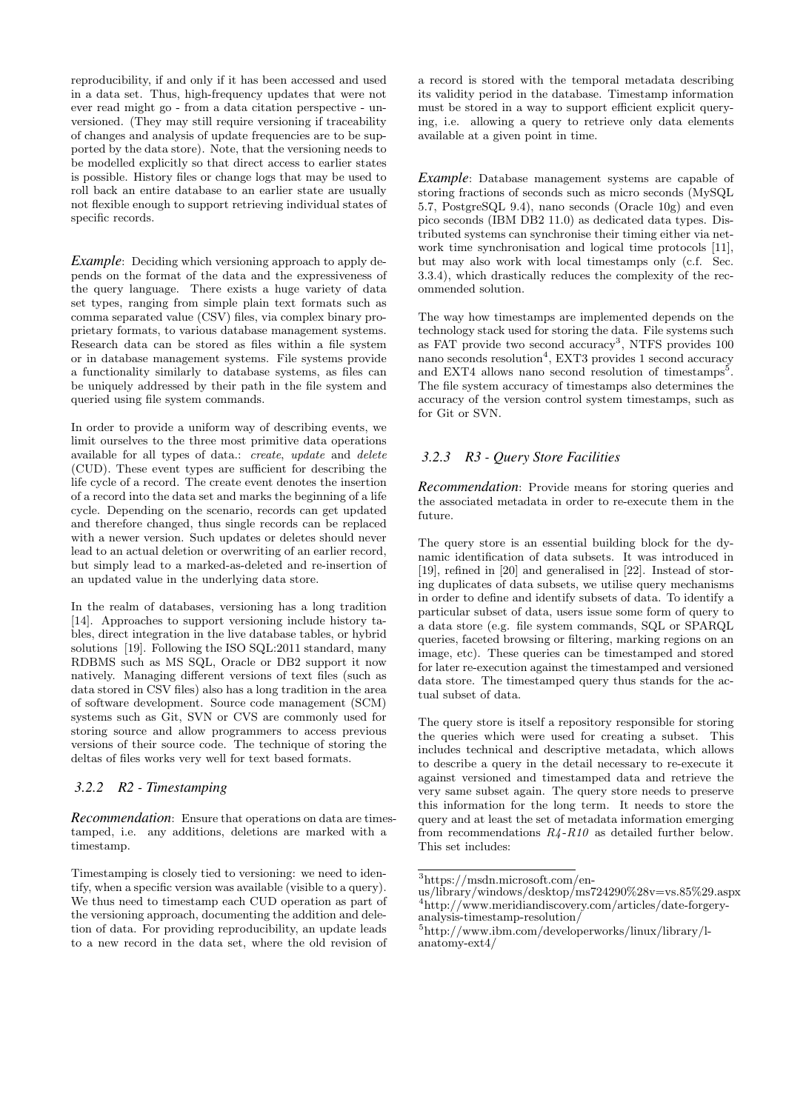reproducibility, if and only if it has been accessed and used in a data set. Thus, high-frequency updates that were not ever read might go - from a data citation perspective - unversioned. (They may still require versioning if traceability of changes and analysis of update frequencies are to be supported by the data store). Note, that the versioning needs to be modelled explicitly so that direct access to earlier states is possible. History files or change logs that may be used to roll back an entire database to an earlier state are usually not flexible enough to support retrieving individual states of specific records.

*Example*: Deciding which versioning approach to apply depends on the format of the data and the expressiveness of the query language. There exists a huge variety of data set types, ranging from simple plain text formats such as comma separated value (CSV) files, via complex binary proprietary formats, to various database management systems. Research data can be stored as files within a file system or in database management systems. File systems provide a functionality similarly to database systems, as files can be uniquely addressed by their path in the file system and queried using file system commands.

In order to provide a uniform way of describing events, we limit ourselves to the three most primitive data operations available for all types of data.: create, update and delete (CUD). These event types are sufficient for describing the life cycle of a record. The create event denotes the insertion of a record into the data set and marks the beginning of a life cycle. Depending on the scenario, records can get updated and therefore changed, thus single records can be replaced with a newer version. Such updates or deletes should never lead to an actual deletion or overwriting of an earlier record, but simply lead to a marked-as-deleted and re-insertion of an updated value in the underlying data store.

In the realm of databases, versioning has a long tradition [14]. Approaches to support versioning include history tables, direct integration in the live database tables, or hybrid solutions [19]. Following the ISO SQL:2011 standard, many RDBMS such as MS SQL, Oracle or DB2 support it now natively. Managing different versions of text files (such as data stored in CSV files) also has a long tradition in the area of software development. Source code management (SCM) systems such as Git, SVN or CVS are commonly used for storing source and allow programmers to access previous versions of their source code. The technique of storing the deltas of files works very well for text based formats.

## *3.2.2 R2 - Timestamping*

*Recommendation*: Ensure that operations on data are timestamped, i.e. any additions, deletions are marked with a timestamp.

Timestamping is closely tied to versioning: we need to identify, when a specific version was available (visible to a query). We thus need to timestamp each CUD operation as part of the versioning approach, documenting the addition and deletion of data. For providing reproducibility, an update leads to a new record in the data set, where the old revision of

a record is stored with the temporal metadata describing its validity period in the database. Timestamp information must be stored in a way to support efficient explicit querying, i.e. allowing a query to retrieve only data elements available at a given point in time.

*Example*: Database management systems are capable of storing fractions of seconds such as micro seconds (MySQL 5.7, PostgreSQL 9.4), nano seconds (Oracle 10g) and even pico seconds (IBM DB2 11.0) as dedicated data types. Distributed systems can synchronise their timing either via network time synchronisation and logical time protocols [11], but may also work with local timestamps only (c.f. Sec. 3.3.4), which drastically reduces the complexity of the recommended solution.

The way how timestamps are implemented depends on the technology stack used for storing the data. File systems such as FAT provide two second accuracy<sup>3</sup>, NTFS provides 100 nano seconds resolution<sup>4</sup>, EXT3 provides 1 second accuracy and EXT4 allows nano second resolution of timestamps<sup>5</sup>. The file system accuracy of timestamps also determines the accuracy of the version control system timestamps, such as for Git or SVN.

# *3.2.3 R3 - Query Store Facilities*

*Recommendation*: Provide means for storing queries and the associated metadata in order to re-execute them in the future.

The query store is an essential building block for the dynamic identification of data subsets. It was introduced in [19], refined in [20] and generalised in [22]. Instead of storing duplicates of data subsets, we utilise query mechanisms in order to define and identify subsets of data. To identify a particular subset of data, users issue some form of query to a data store (e.g. file system commands, SQL or SPARQL queries, faceted browsing or filtering, marking regions on an image, etc). These queries can be timestamped and stored for later re-execution against the timestamped and versioned data store. The timestamped query thus stands for the actual subset of data.

The query store is itself a repository responsible for storing the queries which were used for creating a subset. This includes technical and descriptive metadata, which allows to describe a query in the detail necessary to re-execute it against versioned and timestamped data and retrieve the very same subset again. The query store needs to preserve this information for the long term. It needs to store the query and at least the set of metadata information emerging from recommendations  $R_4 - R_1$  as detailed further below. This set includes:

<sup>3</sup>https://msdn.microsoft.com/en-

us/library/windows/desktop/ms724290%28v=vs.85%29.aspx <sup>4</sup>http://www.meridiandiscovery.com/articles/date-forgeryanalysis-timestamp-resolution/

 $5$ http://www.ibm.com/developerworks/linux/library/lanatomy-ext4/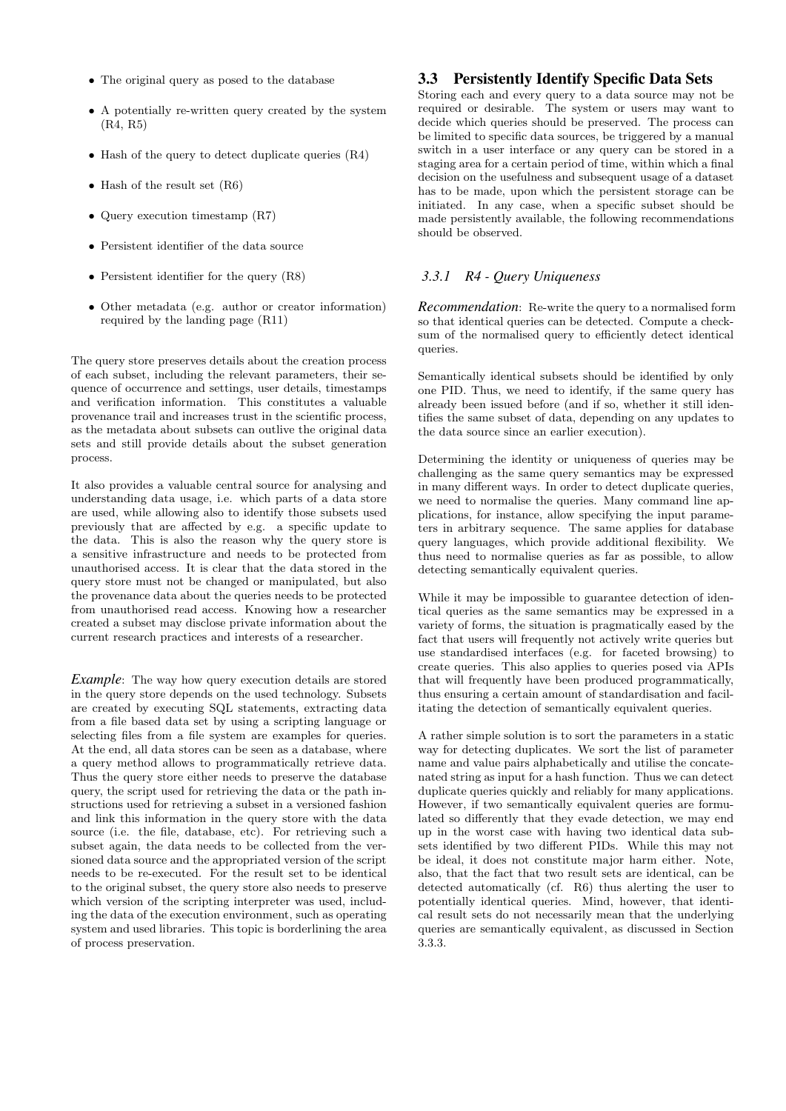- The original query as posed to the database
- A potentially re-written query created by the system (R4, R5)
- Hash of the query to detect duplicate queries (R4)
- Hash of the result set  $(R6)$
- Query execution timestamp (R7)
- Persistent identifier of the data source
- Persistent identifier for the query (R8)
- Other metadata (e.g. author or creator information) required by the landing page (R11)

The query store preserves details about the creation process of each subset, including the relevant parameters, their sequence of occurrence and settings, user details, timestamps and verification information. This constitutes a valuable provenance trail and increases trust in the scientific process, as the metadata about subsets can outlive the original data sets and still provide details about the subset generation process.

It also provides a valuable central source for analysing and understanding data usage, i.e. which parts of a data store are used, while allowing also to identify those subsets used previously that are affected by e.g. a specific update to the data. This is also the reason why the query store is a sensitive infrastructure and needs to be protected from unauthorised access. It is clear that the data stored in the query store must not be changed or manipulated, but also the provenance data about the queries needs to be protected from unauthorised read access. Knowing how a researcher created a subset may disclose private information about the current research practices and interests of a researcher.

*Example*: The way how query execution details are stored in the query store depends on the used technology. Subsets are created by executing SQL statements, extracting data from a file based data set by using a scripting language or selecting files from a file system are examples for queries. At the end, all data stores can be seen as a database, where a query method allows to programmatically retrieve data. Thus the query store either needs to preserve the database query, the script used for retrieving the data or the path instructions used for retrieving a subset in a versioned fashion and link this information in the query store with the data source (i.e. the file, database, etc). For retrieving such a subset again, the data needs to be collected from the versioned data source and the appropriated version of the script needs to be re-executed. For the result set to be identical to the original subset, the query store also needs to preserve which version of the scripting interpreter was used, including the data of the execution environment, such as operating system and used libraries. This topic is borderlining the area of process preservation.

## 3.3 Persistently Identify Specific Data Sets

Storing each and every query to a data source may not be required or desirable. The system or users may want to decide which queries should be preserved. The process can be limited to specific data sources, be triggered by a manual switch in a user interface or any query can be stored in a staging area for a certain period of time, within which a final decision on the usefulness and subsequent usage of a dataset has to be made, upon which the persistent storage can be initiated. In any case, when a specific subset should be made persistently available, the following recommendations should be observed.

## *3.3.1 R4 - Query Uniqueness*

*Recommendation*: Re-write the query to a normalised form so that identical queries can be detected. Compute a checksum of the normalised query to efficiently detect identical queries.

Semantically identical subsets should be identified by only one PID. Thus, we need to identify, if the same query has already been issued before (and if so, whether it still identifies the same subset of data, depending on any updates to the data source since an earlier execution).

Determining the identity or uniqueness of queries may be challenging as the same query semantics may be expressed in many different ways. In order to detect duplicate queries, we need to normalise the queries. Many command line applications, for instance, allow specifying the input parameters in arbitrary sequence. The same applies for database query languages, which provide additional flexibility. We thus need to normalise queries as far as possible, to allow detecting semantically equivalent queries.

While it may be impossible to guarantee detection of identical queries as the same semantics may be expressed in a variety of forms, the situation is pragmatically eased by the fact that users will frequently not actively write queries but use standardised interfaces (e.g. for faceted browsing) to create queries. This also applies to queries posed via APIs that will frequently have been produced programmatically, thus ensuring a certain amount of standardisation and facilitating the detection of semantically equivalent queries.

A rather simple solution is to sort the parameters in a static way for detecting duplicates. We sort the list of parameter name and value pairs alphabetically and utilise the concatenated string as input for a hash function. Thus we can detect duplicate queries quickly and reliably for many applications. However, if two semantically equivalent queries are formulated so differently that they evade detection, we may end up in the worst case with having two identical data subsets identified by two different PIDs. While this may not be ideal, it does not constitute major harm either. Note, also, that the fact that two result sets are identical, can be detected automatically (cf. R6) thus alerting the user to potentially identical queries. Mind, however, that identical result sets do not necessarily mean that the underlying queries are semantically equivalent, as discussed in Section 3.3.3.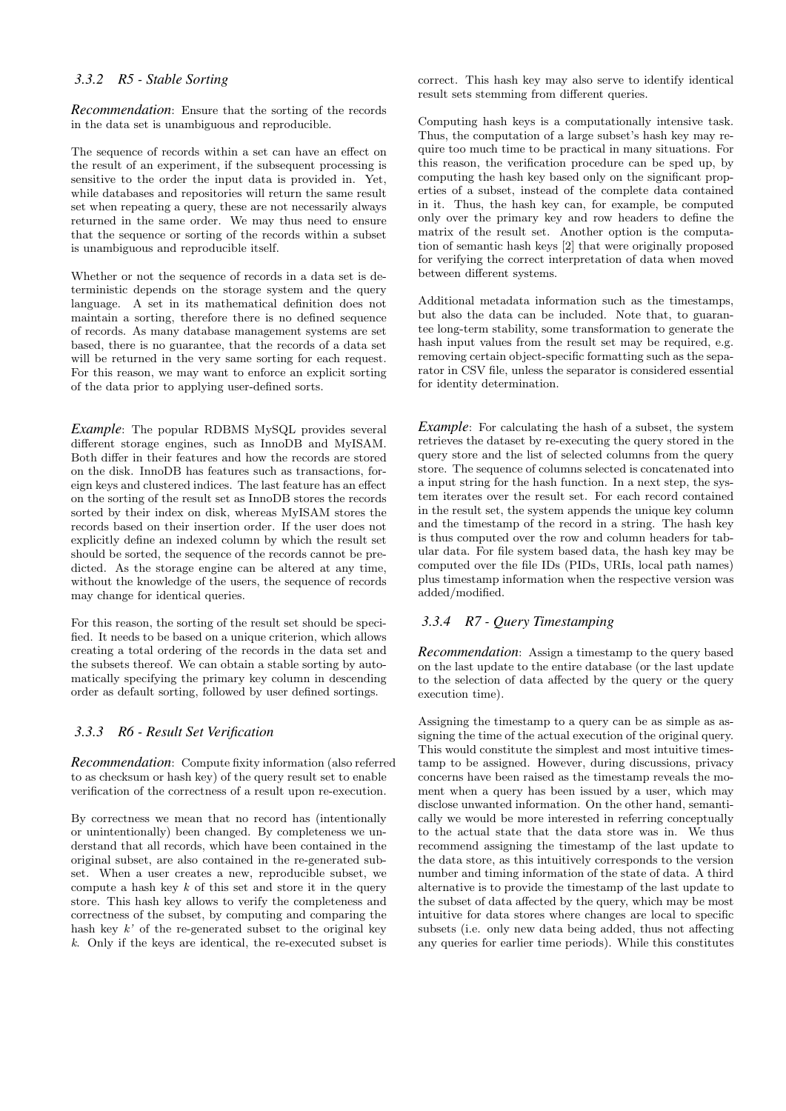#### *3.3.2 R5 - Stable Sorting*

*Recommendation*: Ensure that the sorting of the records in the data set is unambiguous and reproducible.

The sequence of records within a set can have an effect on the result of an experiment, if the subsequent processing is sensitive to the order the input data is provided in. Yet, while databases and repositories will return the same result set when repeating a query, these are not necessarily always returned in the same order. We may thus need to ensure that the sequence or sorting of the records within a subset is unambiguous and reproducible itself.

Whether or not the sequence of records in a data set is deterministic depends on the storage system and the query language. A set in its mathematical definition does not maintain a sorting, therefore there is no defined sequence of records. As many database management systems are set based, there is no guarantee, that the records of a data set will be returned in the very same sorting for each request. For this reason, we may want to enforce an explicit sorting of the data prior to applying user-defined sorts.

*Example*: The popular RDBMS MySQL provides several different storage engines, such as InnoDB and MyISAM. Both differ in their features and how the records are stored on the disk. InnoDB has features such as transactions, foreign keys and clustered indices. The last feature has an effect on the sorting of the result set as InnoDB stores the records sorted by their index on disk, whereas MyISAM stores the records based on their insertion order. If the user does not explicitly define an indexed column by which the result set should be sorted, the sequence of the records cannot be predicted. As the storage engine can be altered at any time, without the knowledge of the users, the sequence of records may change for identical queries.

For this reason, the sorting of the result set should be specified. It needs to be based on a unique criterion, which allows creating a total ordering of the records in the data set and the subsets thereof. We can obtain a stable sorting by automatically specifying the primary key column in descending order as default sorting, followed by user defined sortings.

#### *3.3.3 R6 - Result Set Verification*

*Recommendation*: Compute fixity information (also referred to as checksum or hash key) of the query result set to enable verification of the correctness of a result upon re-execution.

By correctness we mean that no record has (intentionally or unintentionally) been changed. By completeness we understand that all records, which have been contained in the original subset, are also contained in the re-generated subset. When a user creates a new, reproducible subset, we compute a hash key  $k$  of this set and store it in the query store. This hash key allows to verify the completeness and correctness of the subset, by computing and comparing the hash key  $k'$  of the re-generated subset to the original key k. Only if the keys are identical, the re-executed subset is

correct. This hash key may also serve to identify identical result sets stemming from different queries.

Computing hash keys is a computationally intensive task. Thus, the computation of a large subset's hash key may require too much time to be practical in many situations. For this reason, the verification procedure can be sped up, by computing the hash key based only on the significant properties of a subset, instead of the complete data contained in it. Thus, the hash key can, for example, be computed only over the primary key and row headers to define the matrix of the result set. Another option is the computation of semantic hash keys [2] that were originally proposed for verifying the correct interpretation of data when moved between different systems.

Additional metadata information such as the timestamps, but also the data can be included. Note that, to guarantee long-term stability, some transformation to generate the hash input values from the result set may be required, e.g. removing certain object-specific formatting such as the separator in CSV file, unless the separator is considered essential for identity determination.

*Example*: For calculating the hash of a subset, the system retrieves the dataset by re-executing the query stored in the query store and the list of selected columns from the query store. The sequence of columns selected is concatenated into a input string for the hash function. In a next step, the system iterates over the result set. For each record contained in the result set, the system appends the unique key column and the timestamp of the record in a string. The hash key is thus computed over the row and column headers for tabular data. For file system based data, the hash key may be computed over the file IDs (PIDs, URIs, local path names) plus timestamp information when the respective version was added/modified.

#### *3.3.4 R7 - Query Timestamping*

*Recommendation*: Assign a timestamp to the query based on the last update to the entire database (or the last update to the selection of data affected by the query or the query execution time).

Assigning the timestamp to a query can be as simple as assigning the time of the actual execution of the original query. This would constitute the simplest and most intuitive timestamp to be assigned. However, during discussions, privacy concerns have been raised as the timestamp reveals the moment when a query has been issued by a user, which may disclose unwanted information. On the other hand, semantically we would be more interested in referring conceptually to the actual state that the data store was in. We thus recommend assigning the timestamp of the last update to the data store, as this intuitively corresponds to the version number and timing information of the state of data. A third alternative is to provide the timestamp of the last update to the subset of data affected by the query, which may be most intuitive for data stores where changes are local to specific subsets (i.e. only new data being added, thus not affecting any queries for earlier time periods). While this constitutes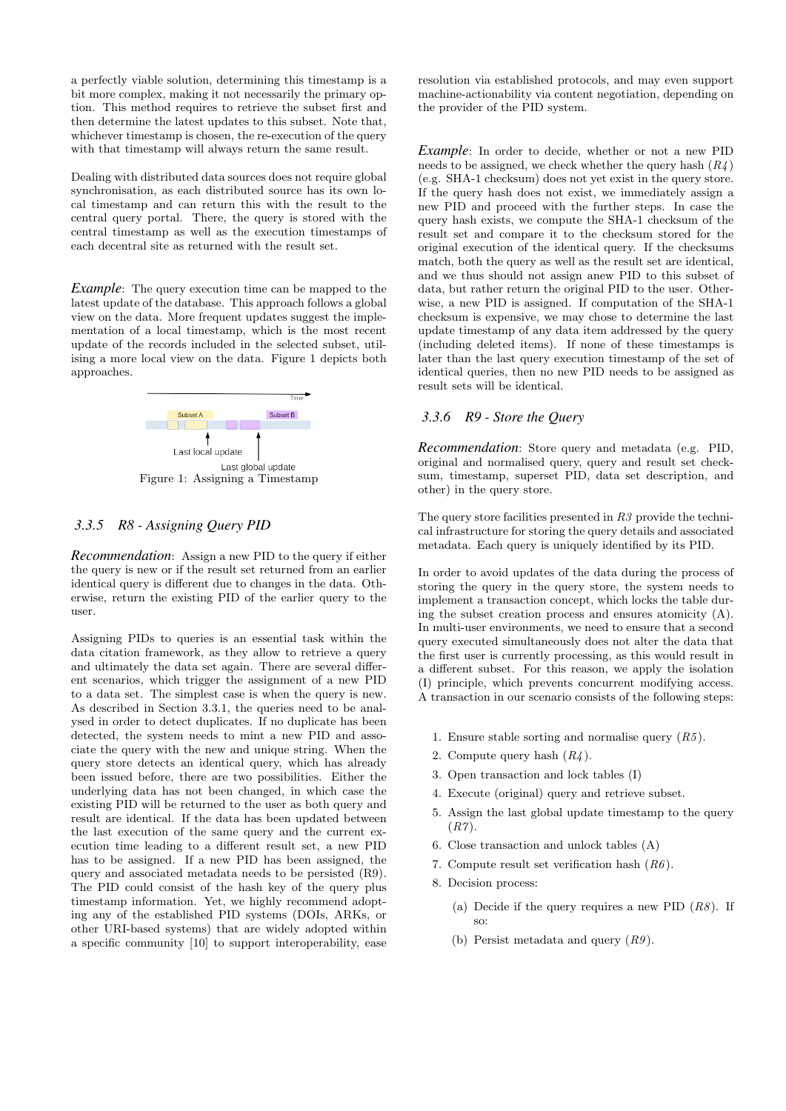a perfectly viable solution, determining this timestamp is a bit more complex, making it not necessarily the primary option. This method requires to retrieve the subset first and then determine the latest updates to this subset. Note that, whichever timestamp is chosen, the re-execution of the query with that timestamp will always return the same result.

Dealing with distributed data sources does not require global synchronisation, as each distributed source has its own local timestamp and can return this with the result to the central query portal. There, the query is stored with the central timestamp as well as the execution timestamps of each decentral site as returned with the result set.

*Example*: The query execution time can be mapped to the latest update of the database. This approach follows a global view on the data. More frequent updates suggest the implementation of a local timestamp, which is the most recent update of the records included in the selected subset, utilising a more local view on the data. Figure 1 depicts both approaches.



#### *3.3.5 R8 - Assigning Query PID*

*Recommendation*: Assign a new PID to the query if either the query is new or if the result set returned from an earlier identical query is different due to changes in the data. Otherwise, return the existing PID of the earlier query to the user.

Assigning PIDs to queries is an essential task within the data citation framework, as they allow to retrieve a query and ultimately the data set again. There are several different scenarios, which trigger the assignment of a new PID to a data set. The simplest case is when the query is new. As described in Section 3.3.1, the queries need to be analysed in order to detect duplicates. If no duplicate has been detected, the system needs to mint a new PID and associate the query with the new and unique string. When the query store detects an identical query, which has already been issued before, there are two possibilities. Either the underlying data has not been changed, in which case the existing PID will be returned to the user as both query and result are identical. If the data has been updated between the last execution of the same query and the current execution time leading to a different result set, a new PID has to be assigned. If a new PID has been assigned, the query and associated metadata needs to be persisted (R9). The PID could consist of the hash key of the query plus timestamp information. Yet, we highly recommend adopting any of the established PID systems (DOIs, ARKs, or other URI-based systems) that are widely adopted within a specific community [10] to support interoperability, ease

resolution via established protocols, and may even support machine-actionability via content negotiation, depending on the provider of the PID system.

*Example*: In order to decide, whether or not a new PID needs to be assigned, we check whether the query hash  $(R<sub>4</sub>)$ (e.g. SHA-1 checksum) does not yet exist in the query store. If the query hash does not exist, we immediately assign a new PID and proceed with the further steps. In case the query hash exists, we compute the SHA-1 checksum of the result set and compare it to the checksum stored for the original execution of the identical query. If the checksums match, both the query as well as the result set are identical, and we thus should not assign anew PID to this subset of data, but rather return the original PID to the user. Otherwise, a new PID is assigned. If computation of the SHA-1 checksum is expensive, we may chose to determine the last update timestamp of any data item addressed by the query (including deleted items). If none of these timestamps is later than the last query execution timestamp of the set of identical queries, then no new PID needs to be assigned as result sets will be identical.

#### *3.3.6 R9 - Store the Query*

*Recommendation*: Store query and metadata (e.g. PID, original and normalised query, query and result set checksum, timestamp, superset PID, data set description, and other) in the query store.

The query store facilities presented in  $R3$  provide the technical infrastructure for storing the query details and associated metadata. Each query is uniquely identified by its PID.

In order to avoid updates of the data during the process of storing the query in the query store, the system needs to implement a transaction concept, which locks the table during the subset creation process and ensures atomicity (A). In multi-user environments, we need to ensure that a second query executed simultaneously does not alter the data that the first user is currently processing, as this would result in a different subset. For this reason, we apply the isolation (I) principle, which prevents concurrent modifying access. A transaction in our scenario consists of the following steps:

- 1. Ensure stable sorting and normalise query  $(R5)$ .
- 2. Compute query hash  $(R_4)$ .
- 3. Open transaction and lock tables (I)
- 4. Execute (original) query and retrieve subset.
- 5. Assign the last global update timestamp to the query  $(R7)$ .
- 6. Close transaction and unlock tables (A)
- 7. Compute result set verification hash  $(R6)$ .
- 8. Decision process:
	- (a) Decide if the query requires a new PID  $(R8)$ . If so:
	- (b) Persist metadata and query  $(R9)$ .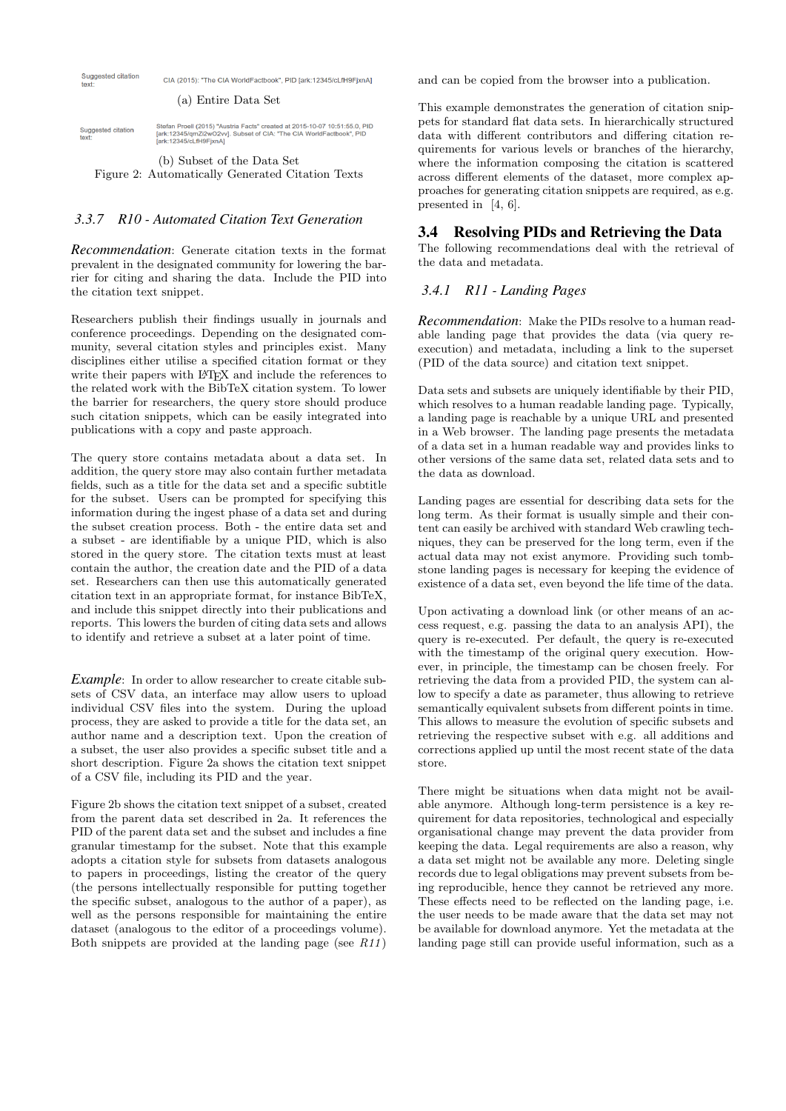

#### *3.3.7 R10 - Automated Citation Text Generation*

*Recommendation*: Generate citation texts in the format prevalent in the designated community for lowering the barrier for citing and sharing the data. Include the PID into the citation text snippet.

Researchers publish their findings usually in journals and conference proceedings. Depending on the designated community, several citation styles and principles exist. Many disciplines either utilise a specified citation format or they write their papers with LAT<sub>E</sub>X and include the references to the related work with the BibTeX citation system. To lower the barrier for researchers, the query store should produce such citation snippets, which can be easily integrated into publications with a copy and paste approach.

The query store contains metadata about a data set. In addition, the query store may also contain further metadata fields, such as a title for the data set and a specific subtitle for the subset. Users can be prompted for specifying this information during the ingest phase of a data set and during the subset creation process. Both - the entire data set and a subset - are identifiable by a unique PID, which is also stored in the query store. The citation texts must at least contain the author, the creation date and the PID of a data set. Researchers can then use this automatically generated citation text in an appropriate format, for instance BibTeX, and include this snippet directly into their publications and reports. This lowers the burden of citing data sets and allows to identify and retrieve a subset at a later point of time.

*Example*: In order to allow researcher to create citable subsets of CSV data, an interface may allow users to upload individual CSV files into the system. During the upload process, they are asked to provide a title for the data set, an author name and a description text. Upon the creation of a subset, the user also provides a specific subset title and a short description. Figure 2a shows the citation text snippet of a CSV file, including its PID and the year.

Figure 2b shows the citation text snippet of a subset, created from the parent data set described in 2a. It references the PID of the parent data set and the subset and includes a fine granular timestamp for the subset. Note that this example adopts a citation style for subsets from datasets analogous to papers in proceedings, listing the creator of the query (the persons intellectually responsible for putting together the specific subset, analogous to the author of a paper), as well as the persons responsible for maintaining the entire dataset (analogous to the editor of a proceedings volume). Both snippets are provided at the landing page (see  $R11$ )

and can be copied from the browser into a publication.

This example demonstrates the generation of citation snippets for standard flat data sets. In hierarchically structured data with different contributors and differing citation requirements for various levels or branches of the hierarchy, where the information composing the citation is scattered across different elements of the dataset, more complex approaches for generating citation snippets are required, as e.g. presented in [4, 6].

#### 3.4 Resolving PIDs and Retrieving the Data

The following recommendations deal with the retrieval of the data and metadata.

## *3.4.1 R11 - Landing Pages*

*Recommendation*: Make the PIDs resolve to a human readable landing page that provides the data (via query reexecution) and metadata, including a link to the superset (PID of the data source) and citation text snippet.

Data sets and subsets are uniquely identifiable by their PID, which resolves to a human readable landing page. Typically, a landing page is reachable by a unique URL and presented in a Web browser. The landing page presents the metadata of a data set in a human readable way and provides links to other versions of the same data set, related data sets and to the data as download.

Landing pages are essential for describing data sets for the long term. As their format is usually simple and their content can easily be archived with standard Web crawling techniques, they can be preserved for the long term, even if the actual data may not exist anymore. Providing such tombstone landing pages is necessary for keeping the evidence of existence of a data set, even beyond the life time of the data.

Upon activating a download link (or other means of an access request, e.g. passing the data to an analysis API), the query is re-executed. Per default, the query is re-executed with the timestamp of the original query execution. However, in principle, the timestamp can be chosen freely. For retrieving the data from a provided PID, the system can allow to specify a date as parameter, thus allowing to retrieve semantically equivalent subsets from different points in time. This allows to measure the evolution of specific subsets and retrieving the respective subset with e.g. all additions and corrections applied up until the most recent state of the data store.

There might be situations when data might not be available anymore. Although long-term persistence is a key requirement for data repositories, technological and especially organisational change may prevent the data provider from keeping the data. Legal requirements are also a reason, why a data set might not be available any more. Deleting single records due to legal obligations may prevent subsets from being reproducible, hence they cannot be retrieved any more. These effects need to be reflected on the landing page, i.e. the user needs to be made aware that the data set may not be available for download anymore. Yet the metadata at the landing page still can provide useful information, such as a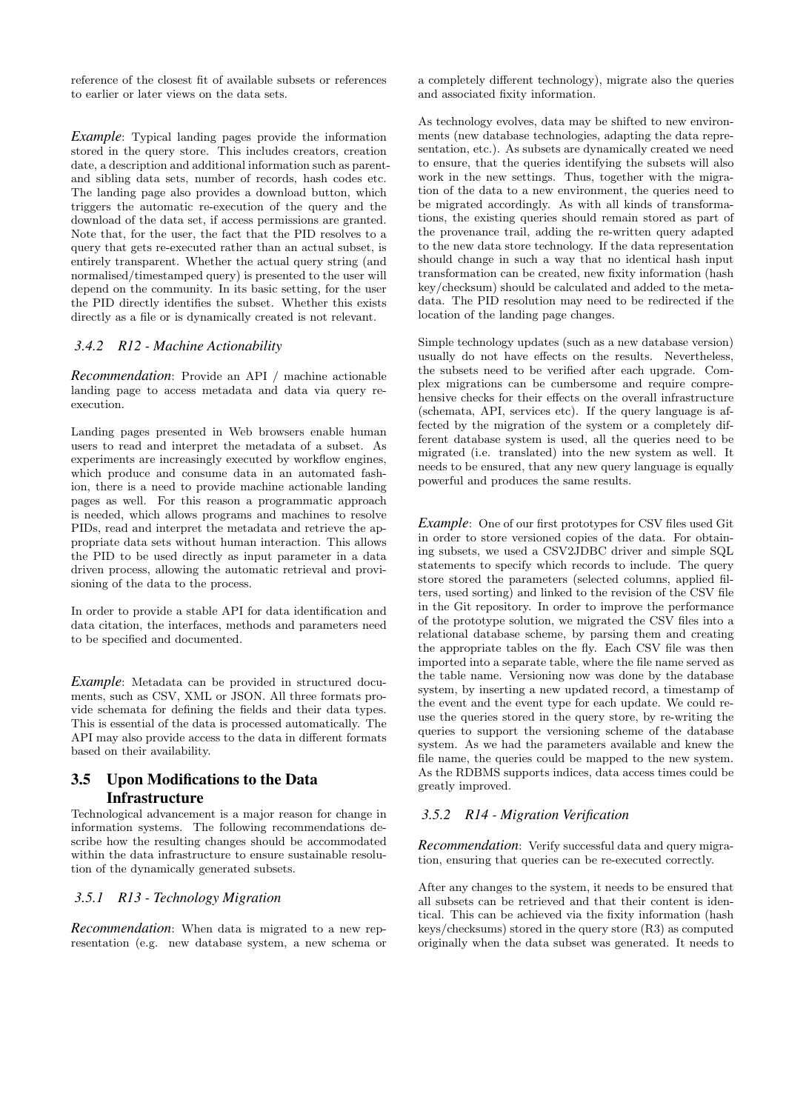reference of the closest fit of available subsets or references to earlier or later views on the data sets.

*Example*: Typical landing pages provide the information stored in the query store. This includes creators, creation date, a description and additional information such as parentand sibling data sets, number of records, hash codes etc. The landing page also provides a download button, which triggers the automatic re-execution of the query and the download of the data set, if access permissions are granted. Note that, for the user, the fact that the PID resolves to a query that gets re-executed rather than an actual subset, is entirely transparent. Whether the actual query string (and normalised/timestamped query) is presented to the user will depend on the community. In its basic setting, for the user the PID directly identifies the subset. Whether this exists directly as a file or is dynamically created is not relevant.

## *3.4.2 R12 - Machine Actionability*

*Recommendation*: Provide an API / machine actionable landing page to access metadata and data via query reexecution.

Landing pages presented in Web browsers enable human users to read and interpret the metadata of a subset. As experiments are increasingly executed by workflow engines, which produce and consume data in an automated fashion, there is a need to provide machine actionable landing pages as well. For this reason a programmatic approach is needed, which allows programs and machines to resolve PIDs, read and interpret the metadata and retrieve the appropriate data sets without human interaction. This allows the PID to be used directly as input parameter in a data driven process, allowing the automatic retrieval and provisioning of the data to the process.

In order to provide a stable API for data identification and data citation, the interfaces, methods and parameters need to be specified and documented.

*Example*: Metadata can be provided in structured documents, such as CSV, XML or JSON. All three formats provide schemata for defining the fields and their data types. This is essential of the data is processed automatically. The API may also provide access to the data in different formats based on their availability.

# 3.5 Upon Modifications to the Data **Infrastructure**

Technological advancement is a major reason for change in information systems. The following recommendations describe how the resulting changes should be accommodated within the data infrastructure to ensure sustainable resolution of the dynamically generated subsets.

## *3.5.1 R13 - Technology Migration*

*Recommendation*: When data is migrated to a new representation (e.g. new database system, a new schema or

a completely different technology), migrate also the queries and associated fixity information.

As technology evolves, data may be shifted to new environments (new database technologies, adapting the data representation, etc.). As subsets are dynamically created we need to ensure, that the queries identifying the subsets will also work in the new settings. Thus, together with the migration of the data to a new environment, the queries need to be migrated accordingly. As with all kinds of transformations, the existing queries should remain stored as part of the provenance trail, adding the re-written query adapted to the new data store technology. If the data representation should change in such a way that no identical hash input transformation can be created, new fixity information (hash key/checksum) should be calculated and added to the metadata. The PID resolution may need to be redirected if the location of the landing page changes.

Simple technology updates (such as a new database version) usually do not have effects on the results. Nevertheless, the subsets need to be verified after each upgrade. Complex migrations can be cumbersome and require comprehensive checks for their effects on the overall infrastructure (schemata, API, services etc). If the query language is affected by the migration of the system or a completely different database system is used, all the queries need to be migrated (i.e. translated) into the new system as well. It needs to be ensured, that any new query language is equally powerful and produces the same results.

*Example*: One of our first prototypes for CSV files used Git in order to store versioned copies of the data. For obtaining subsets, we used a CSV2JDBC driver and simple SQL statements to specify which records to include. The query store stored the parameters (selected columns, applied filters, used sorting) and linked to the revision of the CSV file in the Git repository. In order to improve the performance of the prototype solution, we migrated the CSV files into a relational database scheme, by parsing them and creating the appropriate tables on the fly. Each CSV file was then imported into a separate table, where the file name served as the table name. Versioning now was done by the database system, by inserting a new updated record, a timestamp of the event and the event type for each update. We could reuse the queries stored in the query store, by re-writing the queries to support the versioning scheme of the database system. As we had the parameters available and knew the file name, the queries could be mapped to the new system. As the RDBMS supports indices, data access times could be greatly improved.

## *3.5.2 R14 - Migration Verification*

*Recommendation*: Verify successful data and query migration, ensuring that queries can be re-executed correctly.

After any changes to the system, it needs to be ensured that all subsets can be retrieved and that their content is identical. This can be achieved via the fixity information (hash keys/checksums) stored in the query store (R3) as computed originally when the data subset was generated. It needs to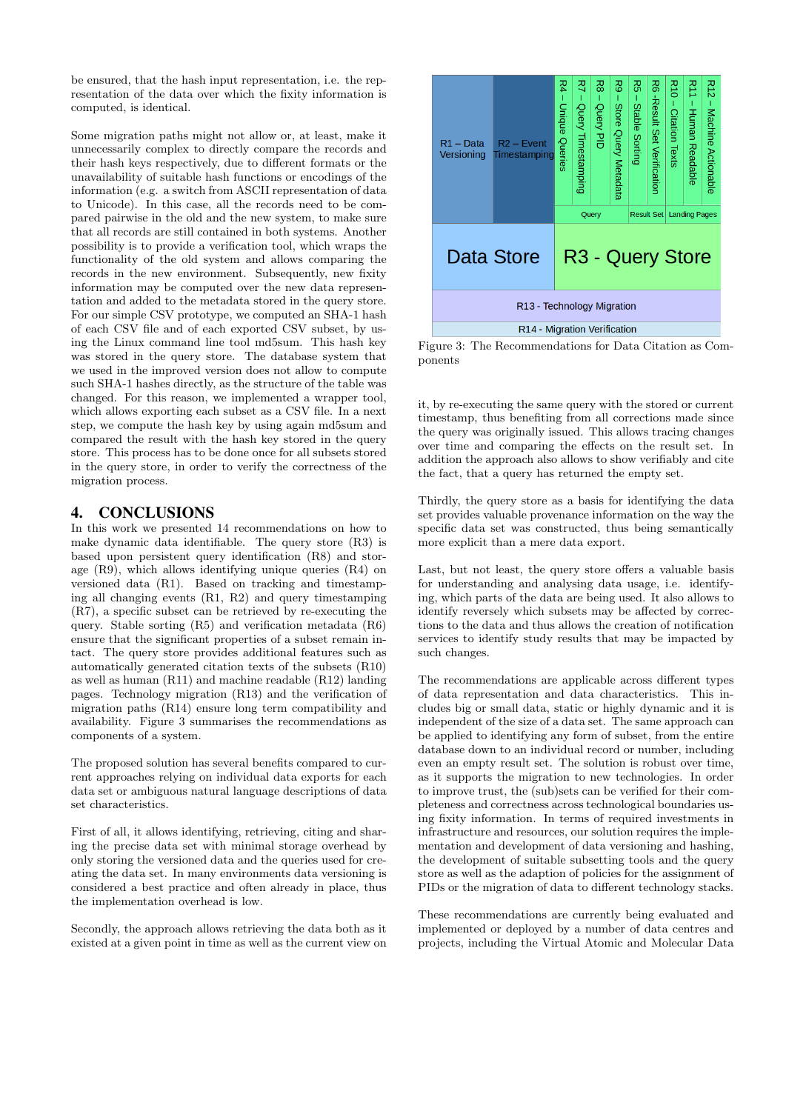be ensured, that the hash input representation, i.e. the representation of the data over which the fixity information is computed, is identical.

Some migration paths might not allow or, at least, make it unnecessarily complex to directly compare the records and their hash keys respectively, due to different formats or the unavailability of suitable hash functions or encodings of the information (e.g. a switch from ASCII representation of data to Unicode). In this case, all the records need to be compared pairwise in the old and the new system, to make sure that all records are still contained in both systems. Another possibility is to provide a verification tool, which wraps the functionality of the old system and allows comparing the records in the new environment. Subsequently, new fixity information may be computed over the new data representation and added to the metadata stored in the query store. For our simple CSV prototype, we computed an SHA-1 hash of each CSV file and of each exported CSV subset, by using the Linux command line tool md5sum. This hash key was stored in the query store. The database system that we used in the improved version does not allow to compute such SHA-1 hashes directly, as the structure of the table was changed. For this reason, we implemented a wrapper tool, which allows exporting each subset as a CSV file. In a next step, we compute the hash key by using again md5sum and compared the result with the hash key stored in the query store. This process has to be done once for all subsets stored in the query store, in order to verify the correctness of the migration process.

## 4. CONCLUSIONS

In this work we presented 14 recommendations on how to make dynamic data identifiable. The query store (R3) is based upon persistent query identification (R8) and storage (R9), which allows identifying unique queries (R4) on versioned data (R1). Based on tracking and timestamping all changing events (R1, R2) and query timestamping (R7), a specific subset can be retrieved by re-executing the query. Stable sorting (R5) and verification metadata (R6) ensure that the significant properties of a subset remain intact. The query store provides additional features such as automatically generated citation texts of the subsets (R10) as well as human (R11) and machine readable (R12) landing pages. Technology migration (R13) and the verification of migration paths (R14) ensure long term compatibility and availability. Figure 3 summarises the recommendations as components of a system.

The proposed solution has several benefits compared to current approaches relying on individual data exports for each data set or ambiguous natural language descriptions of data set characteristics.

First of all, it allows identifying, retrieving, citing and sharing the precise data set with minimal storage overhead by only storing the versioned data and the queries used for creating the data set. In many environments data versioning is considered a best practice and often already in place, thus the implementation overhead is low.

Secondly, the approach allows retrieving the data both as it existed at a given point in time as well as the current view on



Figure 3: The Recommendations for Data Citation as Components

it, by re-executing the same query with the stored or current timestamp, thus benefiting from all corrections made since the query was originally issued. This allows tracing changes over time and comparing the effects on the result set. In addition the approach also allows to show verifiably and cite the fact, that a query has returned the empty set.

Thirdly, the query store as a basis for identifying the data set provides valuable provenance information on the way the specific data set was constructed, thus being semantically more explicit than a mere data export.

Last, but not least, the query store offers a valuable basis for understanding and analysing data usage, i.e. identifying, which parts of the data are being used. It also allows to identify reversely which subsets may be affected by corrections to the data and thus allows the creation of notification services to identify study results that may be impacted by such changes.

The recommendations are applicable across different types of data representation and data characteristics. This includes big or small data, static or highly dynamic and it is independent of the size of a data set. The same approach can be applied to identifying any form of subset, from the entire database down to an individual record or number, including even an empty result set. The solution is robust over time, as it supports the migration to new technologies. In order to improve trust, the (sub)sets can be verified for their completeness and correctness across technological boundaries using fixity information. In terms of required investments in infrastructure and resources, our solution requires the implementation and development of data versioning and hashing, the development of suitable subsetting tools and the query store as well as the adaption of policies for the assignment of PIDs or the migration of data to different technology stacks.

These recommendations are currently being evaluated and implemented or deployed by a number of data centres and projects, including the Virtual Atomic and Molecular Data